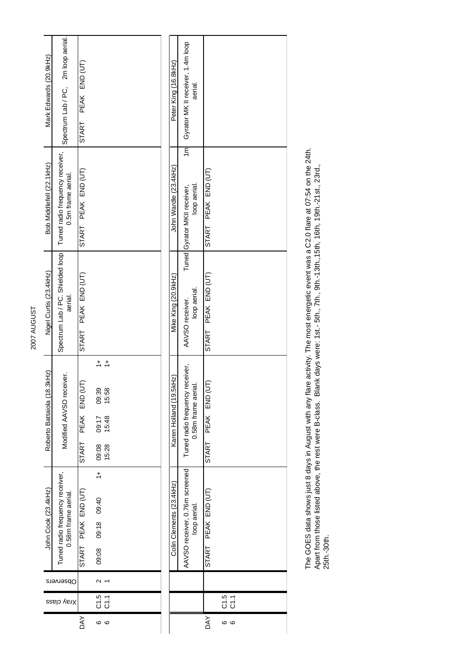| 2007 AUGUST | Mark Edwards (20.9kHz)      | Spectrum Lab / PC, 2m loop aerial.                     | PEAK END (UT)       |                                                                     |  |  |  | Peter King (16.8kHz)     | Gyrator MK II receiver, 1.4m loop              | aerial.            |                        |            |  |
|-------------|-----------------------------|--------------------------------------------------------|---------------------|---------------------------------------------------------------------|--|--|--|--------------------------|------------------------------------------------|--------------------|------------------------|------------|--|
|             |                             |                                                        | START               |                                                                     |  |  |  |                          |                                                |                    |                        |            |  |
|             | Bob Middlefell (22.1kHz)    | Tuned radio frequency receiver,<br>0.5m frame aerial.  | START PEAK END (UT) |                                                                     |  |  |  | John Wardle (23.4kHz)    | $\overline{m}$<br>Tuned Gyrator MKII receiver, | loop aerial.       | START PEAK END (UT)    |            |  |
|             | Nigel Curtis (23.4kHz)      | Spectrum Lab / PC. Shielded loop<br>aerial.            | START PEAK END (UT) |                                                                     |  |  |  | Mike King (20.9kHz)      | AAVSO receiver.                                | loop aerial.       | PEAK END (UT)<br>START |            |  |
|             | Roberto Battaiola (18.3kHz) | Modified AAVSO receiver.                               | START PEAK END (UT) | $\frac{+}{-}$<br>09:39<br>15:58<br>09:17<br>15:48<br>09:08<br>15:28 |  |  |  | Karen Holland (19.5kHz)  | Tuned radio frequency receiver,                | 0.58m frame aerial | PEAK END (UT<br>START  |            |  |
|             | John Cook (23.4kHz)         | Tuned radio frequency receiver,<br>0.58m frame aerial. | START PEAK END (UT) | $\frac{+}{+}$<br>09:08 09:18 09:40                                  |  |  |  | Colin Clements (23.4kHz) | AAVSO receiver, 0.76m screened                 | loop aerial.       | START PEAK END (UT)    |            |  |
|             |                             | Observers                                              |                     | 2                                                                   |  |  |  |                          |                                                |                    |                        |            |  |
|             |                             | Xray class                                             |                     | 5 1<br>0 1<br>0 1                                                   |  |  |  |                          |                                                |                    |                        | 0.5<br>C 7 |  |
|             |                             |                                                        | DΑY                 | <b>၀</b> ဖ                                                          |  |  |  |                          |                                                |                    | DΑY                    | <b>ေ</b> ဖ |  |

The GOES data shows just 8 days in August with any flare activity. The most energetic event was a C2.0 flare at 07:54 on the 24th. Apart from those listed above, the rest were B-class. Blank days were: 1st.- 5th., 7th., 9th.-13th.,15th, 16th, 19th.-21st., 23rd., The GOES data shows just 8 days in August with any flare activity. The most energetic event was a C2.0 flare at 07:54 on the 24th.<br>Apart from those listed above, the rest were B-class. Blank days were: 1st.- 5th., 7th., 9t